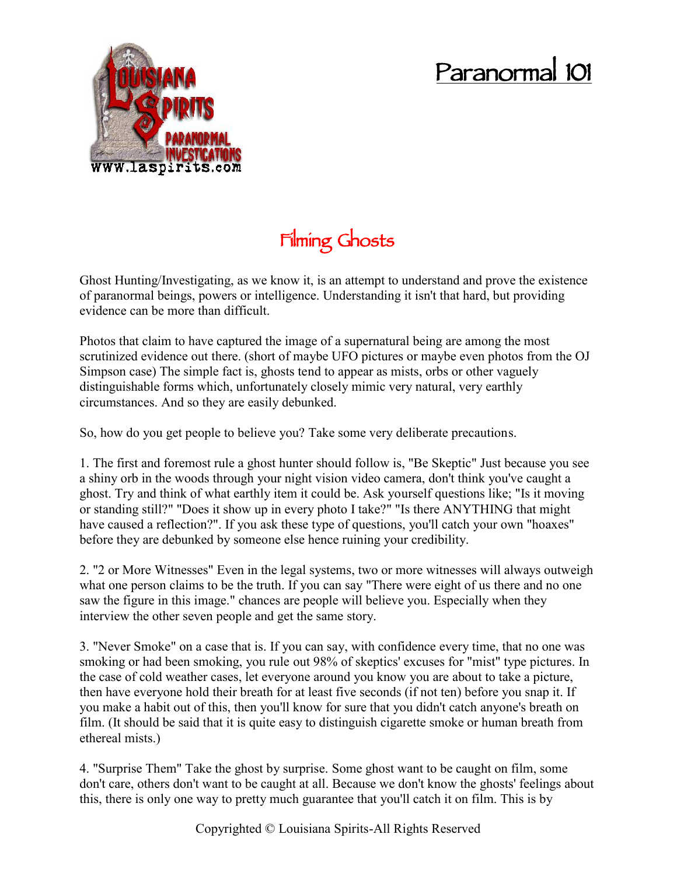## **Paranormal 101**



## **Filming Ghosts**

Ghost Hunting/Investigating, as we know it, is an attempt to understand and prove the existence of paranormal beings, powers or intelligence. Understanding it isn't that hard, but providing evidence can be more than difficult.

Photos that claim to have captured the image of a supernatural being are among the most scrutinized evidence out there. (short of maybe UFO pictures or maybe even photos from the OJ Simpson case) The simple fact is, ghosts tend to appear as mists, orbs or other vaguely distinguishable forms which, unfortunately closely mimic very natural, very earthly circumstances. And so they are easily debunked.

So, how do you get people to believe you? Take some very deliberate precautions.

1. The first and foremost rule a ghost hunter should follow is, "Be Skeptic" Just because you see a shiny orb in the woods through your night vision video camera, don't think you've caught a ghost. Try and think of what earthly item it could be. Ask yourself questions like; "Is it moving or standing still?" "Does it show up in every photo I take?" "Is there ANYTHING that might have caused a reflection?". If you ask these type of questions, you'll catch your own "hoaxes" before they are debunked by someone else hence ruining your credibility.

2. "2 or More Witnesses" Even in the legal systems, two or more witnesses will always outweigh what one person claims to be the truth. If you can say "There were eight of us there and no one saw the figure in this image." chances are people will believe you. Especially when they interview the other seven people and get the same story.

3. "Never Smoke" on a case that is. If you can say, with confidence every time, that no one was smoking or had been smoking, you rule out 98% of skeptics' excuses for "mist" type pictures. In the case of cold weather cases, let everyone around you know you are about to take a picture, then have everyone hold their breath for at least five seconds (if not ten) before you snap it. If you make a habit out of this, then you'll know for sure that you didn't catch anyone's breath on film. (It should be said that it is quite easy to distinguish cigarette smoke or human breath from ethereal mists.)

4. "Surprise Them" Take the ghost by surprise. Some ghost want to be caught on film, some don't care, others don't want to be caught at all. Because we don't know the ghosts' feelings about this, there is only one way to pretty much guarantee that you'll catch it on film. This is by